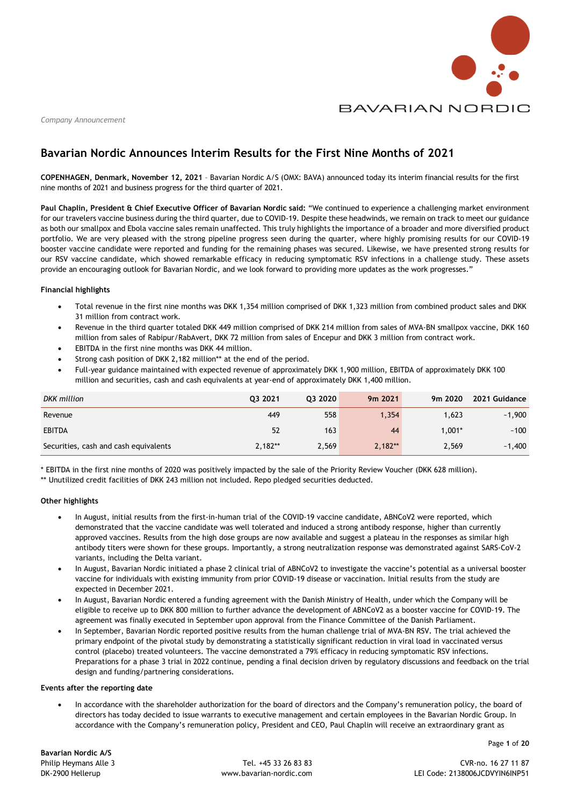

*Company Announcement* 

# **Bavarian Nordic Announces Interim Results for the First Nine Months of 2021**

**COPENHAGEN, [Denmark,](pp://General%20Data/Domicile%20of%20entity?taxonomy=ESEF&labellanguage=en&period=1&allowhtml=false&allowunicode=false&merge=true) November 12, 2021** [– Bavarian Nordic A/S](pp://General%20Data/Name%20of%20reporting%20entity%20or%20other%20means%20of%20identification?taxonomy=ESEF&labellanguage=en&period=1&allowhtml=false&allowunicode=false&merge=true) (OMX: BAVA) announced today its interim financial results for the first nine months of 2021 and business progress for the third quarter of 2021.

**Paul Chaplin, President & Chief Executive Officer of Bavarian Nordic said:** "We continued to experience a challenging market environment for our travelers vaccine business during the third quarter, due to COVID-19. Despite these headwinds, we remain on track to meet our guidance as both our smallpox and Ebola vaccine sales remain unaffected. This truly highlights the importance of a broader and more diversified product portfolio. We are very pleased with the strong pipeline progress seen during the quarter, where highly promising results for our COVID-19 booster vaccine candidate were reported and funding for the remaining phases was secured. Likewise, we have presented strong results for our RSV vaccine candidate, which showed remarkable efficacy in reducing symptomatic RSV infections in a challenge study. These assets provide an encouraging outlook for Bavarian Nordic, and we look forward to providing more updates as the work progresses."

# **Financial highlights**

- Total revenue in the first nine months was DKK 1,354 million comprised of DKK 1,323 million from combined product sales and DKK 31 million from contract work.
- Revenue in the third quarter totaled DKK 449 million comprised of DKK 214 million from sales of MVA-BN smallpox vaccine, DKK 160 million from sales of Rabipur/RabAvert, DKK 72 million from sales of Encepur and DKK 3 million from contract work.
- EBITDA in the first nine months was DKK 44 million.
- Strong cash position of DKK 2,182 million\*\* at the end of the period.
- Full-year guidance maintained with expected revenue of approximately DKK 1,900 million, EBITDA of approximately DKK 100 million and securities, cash and cash equivalents at year-end of approximately DKK 1,400 million.

| DKK million                           | 03 2021 | 03 20 20 | 9m 2021   | 9m 2020 | 2021 Guidance |
|---------------------------------------|---------|----------|-----------|---------|---------------|
| Revenue                               | 449     | 558      | 1,354     | 1,623   | $-1,900$      |
| <b>EBITDA</b>                         | 52      | 163      | 44        | 1,001*  | ~100          |
| Securities, cash and cash equivalents | 2,182** | 2.569    | $2,182**$ | 2,569   | $-1,400$      |

\* EBITDA in the first nine months of 2020 was positively impacted by the sale of the Priority Review Voucher (DKK 628 million). \*\* Unutilized credit facilities of DKK 243 million not included. Repo pledged securities deducted.

# **Other highlights**

- In August, initial results from the first-in-human trial of the COVID-19 vaccine candidate, ABNCoV2 were reported, which demonstrated that the vaccine candidate was well tolerated and induced a strong antibody response, higher than currently approved vaccines. Results from the high dose groups are now available and suggest a plateau in the responses as similar high antibody titers were shown for these groups. Importantly, a strong neutralization response was demonstrated against SARS-CoV-2 variants, including the Delta variant.
- In August, Bavarian Nordic initiated a phase 2 clinical trial of ABNCoV2 to investigate the vaccine's potential as a universal booster vaccine for individuals with existing immunity from prior COVID-19 disease or vaccination. Initial results from the study are expected in December 2021.
- In August, Bavarian Nordic entered a funding agreement with the Danish Ministry of Health, under which the Company will be eligible to receive up to DKK 800 million to further advance the development of ABNCoV2 as a booster vaccine for COVID-19. The agreement was finally executed in September upon approval from the Finance Committee of the Danish Parliament.
- In September, Bavarian Nordic reported positive results from the human challenge trial of MVA-BN RSV. The trial achieved the primary endpoint of the pivotal study by demonstrating a statistically significant reduction in viral load in vaccinated versus control (placebo) treated volunteers. The vaccine demonstrated a 79% efficacy in reducing symptomatic RSV infections. Preparations for a phase 3 trial in 2022 continue, pending a final decision driven by regulatory discussions and feedback on the trial design and funding/partnering considerations.

#### **Events after the reporting date**

 In accordance with the shareholder authorization for the board of directors and the Company's remuneration policy, the board of directors has today decided to issue warrants to executive management and certain employees in the Bavarian Nordic Group. In accordance with the Company's remuneration policy, President and CEO, Paul Chaplin will receive an extraordinary grant as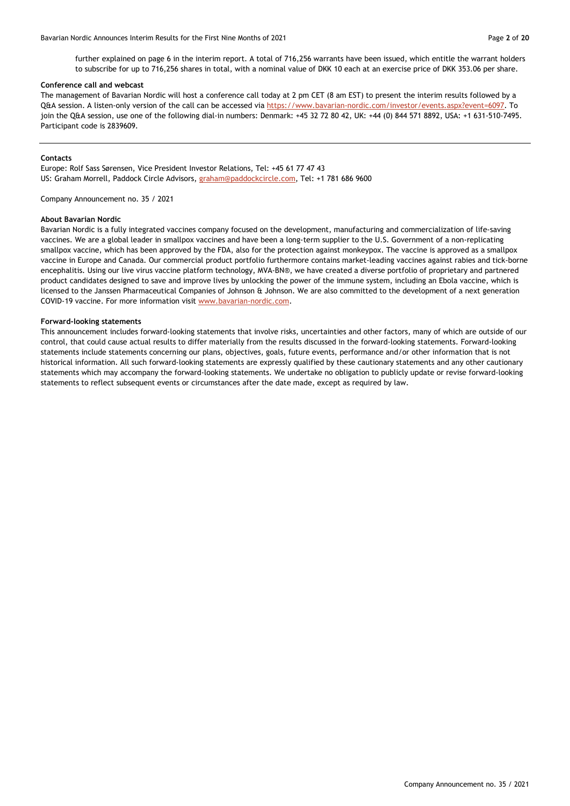further explained on page 6 in the interim report. A total of 716,256 warrants have been issued, which entitle the warrant holders to subscribe for up to 716,256 shares in total, with a nominal value of DKK 10 each at an exercise price of DKK 353.06 per share.

#### **Conference call and webcast**

The management of Bavarian Nordic will host a conference call today at 2 pm CET (8 am EST) to present the interim results followed by a Q&A session. A listen-only version of the call can be accessed via [https://www.bavarian-nordic.com/investor/events.aspx?event=6097.](https://www.bavarian-nordic.com/investor/events.aspx?event=6097) To join the Q&A session, use one of the following dial-in numbers: [Denmark:](pp://General%20Data/Country%20of%20incorporation?taxonomy=ESEF&labellanguage=en&period=1&allowhtml=false&allowunicode=false&merge=true) +45 32 72 80 42, UK: +44 (0) 844 571 8892, USA: +1 631-510-7495. Participant code is 2839609.

#### **Contacts**

Europe: Rolf Sass Sørensen, Vice President Investor Relations, Tel: +45 61 77 47 43 US: Graham Morrell, Paddock Circle Advisors, [graham@paddockcircle.com,](mailto:graham@paddockcircle.com) Tel: +1 781 686 9600

Company Announcement no. 35 / 2021

#### **About Bavarian Nordic**

Bavarian Nordic is a fully integrated vaccines company focused on the development, manufacturing and commercialization of life-saving vaccines. We are a global leader in smallpox vaccines and have been a long-term supplier to the U.S. Government of a non-replicating smallpox vaccine, which has been approved by the FDA, also for the protection against monkeypox. The vaccine is approved as a smallpox vaccine in Europe and Canada. Our commercial product portfolio furthermore contains market-leading vaccines against rabies and tick-borne encephalitis. Using our live virus vaccine platform technology, MVA-BN®, we have created a diverse portfolio of proprietary and partnered product candidates designed to save and improve lives by unlocking the power of the immune system, including an Ebola vaccine, which is licensed to the Janssen Pharmaceutical Companies of Johnson & Johnson. We are also committed to the development of a next generation COVID-19 vaccine. For more information visit [www.bavarian-nordic.com.](http://www.bavarian-nordic.com/)

#### **Forward-looking statements**

This announcement includes forward-looking statements that involve risks, uncertainties and other factors, many of which are outside of our control, that could cause actual results to differ materially from the results discussed in the forward-looking statements. Forward-looking statements include statements concerning our plans, objectives, goals, future events, performance and/or other information that is not historical information. All such forward-looking statements are expressly qualified by these cautionary statements and any other cautionary statements which may accompany the forward-looking statements. We undertake no obligation to publicly update or revise forward-looking statements to reflect subsequent events or circumstances after the date made, except as required by law.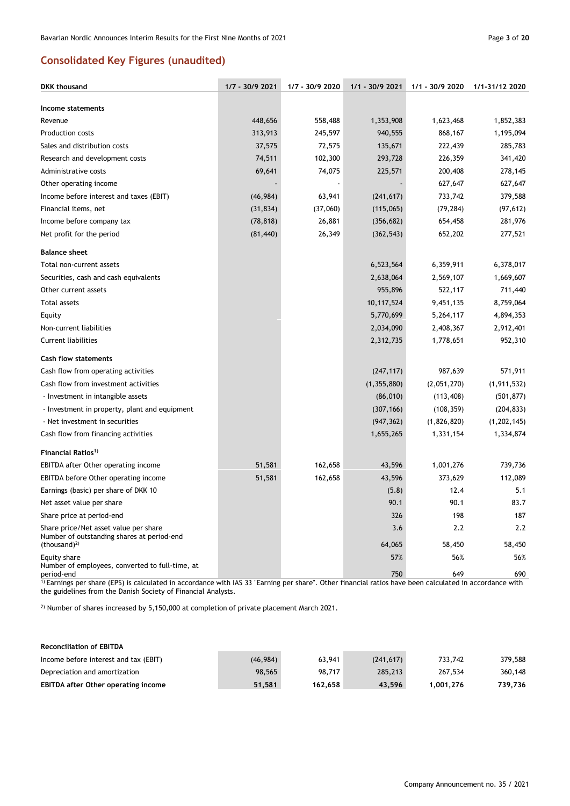# **Consolidated Key Figures (unaudited)**

| <b>DKK thousand</b>                                                                                            | 1/7 - 30/9 2021 | 1/7 - 30/9 2020 | 1/1 - 30/9 2021 | 1/1 - 30/9 2020 | 1/1-31/12 2020 |
|----------------------------------------------------------------------------------------------------------------|-----------------|-----------------|-----------------|-----------------|----------------|
| Income statements                                                                                              |                 |                 |                 |                 |                |
| Revenue                                                                                                        | 448,656         | 558,488         | 1,353,908       | 1,623,468       | 1,852,383      |
| <b>Production costs</b>                                                                                        | 313,913         | 245,597         | 940,555         | 868,167         | 1,195,094      |
| Sales and distribution costs                                                                                   | 37,575          | 72,575          | 135,671         | 222,439         | 285,783        |
| Research and development costs                                                                                 | 74,511          | 102,300         | 293,728         | 226,359         | 341,420        |
| Administrative costs                                                                                           | 69,641          | 74,075          | 225,571         | 200,408         | 278,145        |
| Other operating income                                                                                         |                 |                 |                 | 627,647         | 627,647        |
| Income before interest and taxes (EBIT)                                                                        | (46, 984)       | 63,941          | (241, 617)      | 733,742         | 379,588        |
| Financial items, net                                                                                           | (31, 834)       | (37,060)        | (115,065)       | (79, 284)       | (97, 612)      |
| Income before company tax                                                                                      | (78, 818)       | 26,881          | (356, 682)      | 654,458         | 281,976        |
| Net profit for the period                                                                                      | (81, 440)       | 26,349          | (362, 543)      | 652,202         | 277,521        |
| <b>Balance sheet</b>                                                                                           |                 |                 |                 |                 |                |
| Total non-current assets                                                                                       |                 |                 | 6,523,564       | 6,359,911       | 6,378,017      |
| Securities, cash and cash equivalents                                                                          |                 |                 | 2,638,064       | 2,569,107       | 1,669,607      |
| Other current assets                                                                                           |                 |                 | 955,896         | 522,117         | 711,440        |
| <b>Total assets</b>                                                                                            |                 |                 | 10,117,524      | 9,451,135       | 8,759,064      |
| Equity                                                                                                         |                 |                 | 5,770,699       | 5,264,117       | 4,894,353      |
| Non-current liabilities                                                                                        |                 |                 | 2,034,090       | 2,408,367       | 2,912,401      |
| <b>Current liabilities</b>                                                                                     |                 |                 | 2,312,735       | 1,778,651       | 952,310        |
| <b>Cash flow statements</b>                                                                                    |                 |                 |                 |                 |                |
| Cash flow from operating activities                                                                            |                 |                 | (247, 117)      | 987,639         | 571,911        |
| Cash flow from investment activities                                                                           |                 |                 | (1,355,880)     | (2,051,270)     | (1, 911, 532)  |
| - Investment in intangible assets                                                                              |                 |                 | (86,010)        | (113, 408)      | (501, 877)     |
| - Investment in property, plant and equipment                                                                  |                 |                 | (307, 166)      | (108, 359)      | (204, 833)     |
| - Net investment in securities                                                                                 |                 |                 | (947, 362)      | (1,826,820)     | (1, 202, 145)  |
| Cash flow from financing activities                                                                            |                 |                 | 1,655,265       | 1,331,154       | 1,334,874      |
| Financial Ratios <sup>1)</sup>                                                                                 |                 |                 |                 |                 |                |
| EBITDA after Other operating income                                                                            | 51,581          | 162,658         | 43,596          | 1,001,276       | 739,736        |
| EBITDA before Other operating income                                                                           | 51,581          | 162,658         | 43,596          | 373,629         | 112,089        |
| Earnings (basic) per share of DKK 10                                                                           |                 |                 | (5.8)           | 12.4            | 5.1            |
| Net asset value per share                                                                                      |                 |                 | 90.1            | 90.1            | 83.7           |
| Share price at period-end                                                                                      |                 |                 | 326             | 198             | 187            |
| Share price/Net asset value per share<br>Number of outstanding shares at period-end<br>(thousand) <sup>2</sup> |                 |                 | 3.6<br>64,065   | 2.2<br>58,450   | 2.2<br>58,450  |
| Equity share                                                                                                   |                 |                 | 57%             | 56%             | 56%            |
| Number of employees, converted to full-time, at<br>period-end                                                  |                 |                 | 750             | 649             | 690            |

 $1$ ) Earnings per share (EPS) is calculated in accordance with IAS 33 "Earning per share". Other financial ratios have been calculated in accordance with the guidelines from the Danish Society of Financial Analysts.

<sup>2)</sup> Number of shares increased by 5,150,000 at completion of private placement March 2021.

| <b>Reconciliation of EBITDA</b>            |           |         |           |           |         |  |  |
|--------------------------------------------|-----------|---------|-----------|-----------|---------|--|--|
| Income before interest and tax (EBIT)      | (46, 984) | 63.941  | (241.617) | 733.742   | 379,588 |  |  |
| Depreciation and amortization              | 98.565    | 98.717  | 285,213   | 267.534   | 360,148 |  |  |
| <b>EBITDA after Other operating income</b> | 51.581    | 162.658 | 43.596    | 1.001.276 | 739.736 |  |  |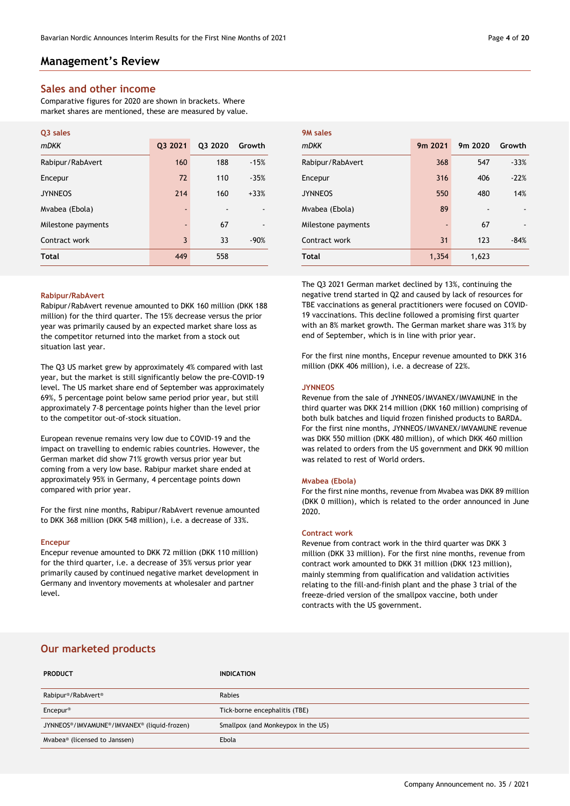# **Management's Review**

# **Sales and other income**

Comparative figures for 2020 are shown in brackets. Where market shares are mentioned, these are measured by value.

| <b>mDKK</b>        | Q3 2021 | Q3 2020 | Growth |
|--------------------|---------|---------|--------|
| Rabipur/RabAvert   | 160     | 188     | $-15%$ |
| Encepur            | 72      | 110     | $-35%$ |
| <b>JYNNEOS</b>     | 214     | 160     | $+33%$ |
| Mvabea (Ebola)     | -       |         |        |
| Milestone payments |         | 67      |        |
| Contract work      | 3       | 33      | $-90%$ |
| <b>Total</b>       | 449     | 558     |        |

#### **Rabipur/RabAvert**

Rabipur/RabAvert revenue amounted to DKK 160 million (DKK 188 million) for the third quarter. The 15% decrease versus the prior year was primarily caused by an expected market share loss as the competitor returned into the market from a stock out situation last year.

The Q3 US market grew by approximately 4% compared with last year, but the market is still significantly below the pre-COVID-19 level. The US market share end of September was approximately 69%, 5 percentage point below same period prior year, but still approximately 7-8 percentage points higher than the level prior to the competitor out-of-stock situation.

European revenue remains very low due to COVID-19 and the impact on travelling to endemic rabies countries. However, the German market did show 71% growth versus prior year but coming from a very low base. Rabipur market share ended at approximately 95% in Germany, 4 percentage points down compared with prior year.

For the first nine months, Rabipur/RabAvert revenue amounted to DKK 368 million (DKK 548 million), i.e. a decrease of 33%.

#### **Encepur**

Encepur revenue amounted to DKK 72 million (DKK 110 million) for the third quarter, i.e. a decrease of 35% versus prior year primarily caused by continued negative market development in Germany and inventory movements at wholesaler and partner level.

| Q3 sales           |                |                |                | 9M sales           |                     |                |        |
|--------------------|----------------|----------------|----------------|--------------------|---------------------|----------------|--------|
| mDKK               | 03 2021        | Q3 2020        | Growth         | <b>mDKK</b>        | 9 <sub>m</sub> 2021 | 9m 2020        | Growth |
| Rabipur/RabAvert   | 160            | 188            | $-15%$         | Rabipur/RabAvert   | 368                 | 547            | $-33%$ |
| Encepur            | 72             | 110            | $-35%$         | Encepur            | 316                 | 406            | $-22%$ |
| <b>JYNNEOS</b>     | 214            | 160            | $+33%$         | <b>JYNNEOS</b>     | 550                 | 480            | 14%    |
| Mvabea (Ebola)     |                | $\blacksquare$ |                | Mvabea (Ebola)     | 89                  | $\blacksquare$ |        |
| Milestone payments |                | 67             | $\blacksquare$ | Milestone payments |                     | 67             |        |
| Contract work      | $\overline{3}$ | 33             | $-90%$         | Contract work      | 31                  | 123            | $-84%$ |
| Total              | 449            | 558            |                | <b>Total</b>       | 1,354               | 1,623          |        |
|                    |                |                |                |                    |                     |                |        |

The Q3 2021 German market declined by 13%, continuing the negative trend started in Q2 and caused by lack of resources for TBE vaccinations as general practitioners were focused on COVID-19 vaccinations. This decline followed a promising first quarter with an 8% market growth. The German market share was 31% by end of September, which is in line with prior year.

For the first nine months, Encepur revenue amounted to DKK 316 million (DKK 406 million), i.e. a decrease of 22%.

#### **JYNNEOS**

Revenue from the sale of JYNNEOS/IMVANEX/IMVAMUNE in the third quarter was DKK 214 million (DKK 160 million) comprising of both bulk batches and liquid frozen finished products to BARDA. For the first nine months, JYNNEOS/IMVANEX/IMVAMUNE revenue was DKK 550 million (DKK 480 million), of which DKK 460 million was related to orders from the US government and DKK 90 million was related to rest of World orders.

#### **Mvabea (Ebola)**

For the first nine months, revenue from Mvabea was DKK 89 million (DKK 0 million), which is related to the order announced in June 2020.

#### **Contract work**

Revenue from contract work in the third quarter was DKK 3 million (DKK 33 million). For the first nine months, revenue from contract work amounted to DKK 31 million (DKK 123 million), mainly stemming from qualification and validation activities relating to the fill-and-finish plant and the phase 3 trial of the freeze-dried version of the smallpox vaccine, both under contracts with the US government.

# **Our marketed products**

| <b>PRODUCT</b>                              | <b>INDICATION</b>                  |
|---------------------------------------------|------------------------------------|
| Rabipur <sup>®</sup> /RabAvert <sup>®</sup> | Rabies                             |
| Encepur <sup>®</sup>                        | Tick-borne encephalitis (TBE)      |
| JYNNEOS®/IMVAMUNE®/IMVANEX® (liquid-frozen) | Smallpox (and Monkeypox in the US) |
| Mvabea <sup>®</sup> (licensed to Janssen)   | Ebola                              |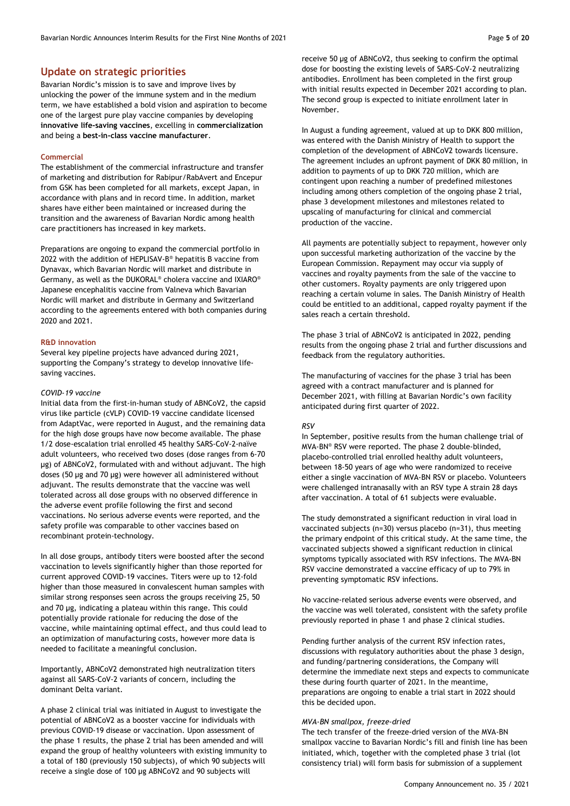# **Update on strategic priorities**

Bavarian Nordic's mission is to save and improve lives by unlocking the power of the immune system and in the medium term, we have established a bold vision and aspiration to become one of the largest pure play vaccine companies by developing **innovative life-saving vaccines**, excelling in **commercialization** and being a **best-in-class vaccine manufacturer**.

#### **Commercial**

The establishment of the commercial infrastructure and transfer of marketing and distribution for Rabipur/RabAvert and Encepur from GSK has been completed for all markets, except Japan, in accordance with plans and in record time. In addition, market shares have either been maintained or increased during the transition and the awareness of Bavarian Nordic among health care practitioners has increased in key markets.

Preparations are ongoing to expand the commercial portfolio in 2022 with the addition of HEPLISAV-B® hepatitis B vaccine from Dynavax, which Bavarian Nordic will market and distribute in Germany, as well as the DUKORAL® cholera vaccine and IXIARO® Japanese encephalitis vaccine from Valneva which Bavarian Nordic will market and distribute in Germany and Switzerland according to the agreements entered with both companies during 2020 and 2021.

#### **R&D innovation**

Several key pipeline projects have advanced during 2021, supporting the Company's strategy to develop innovative lifesaving vaccines.

### *COVID-19 vaccine*

Initial data from the first-in-human study of ABNCoV2, the capsid virus like particle (cVLP) COVID-19 vaccine candidate licensed from AdaptVac, were reported in August, and the remaining data for the high dose groups have now become available. The phase 1/2 dose-escalation trial enrolled 45 healthy SARS-CoV-2-naïve adult volunteers, who received two doses (dose ranges from 6-70 μg) of ABNCoV2, formulated with and without adjuvant. The high doses (50 μg and 70 μg) were however all administered without adjuvant. The results demonstrate that the vaccine was well tolerated across all dose groups with no observed difference in the adverse event profile following the first and second vaccinations. No serious adverse events were reported, and the safety profile was comparable to other vaccines based on recombinant protein-technology.

In all dose groups, antibody titers were boosted after the second vaccination to levels significantly higher than those reported for current approved COVID-19 vaccines. Titers were up to 12-fold higher than those measured in convalescent human samples with similar strong responses seen across the groups receiving 25, 50 and 70 μg, indicating a plateau within this range. This could potentially provide rationale for reducing the dose of the vaccine, while maintaining optimal effect, and thus could lead to an optimization of manufacturing costs, however more data is needed to facilitate a meaningful conclusion.

Importantly, ABNCoV2 demonstrated high neutralization titers against all SARS-CoV-2 variants of concern, including the dominant Delta variant.

A phase 2 clinical trial was initiated in August to investigate the potential of ABNCoV2 as a booster vaccine for individuals with previous COVID-19 disease or vaccination. Upon assessment of the phase 1 results, the phase 2 trial has been amended and will expand the group of healthy volunteers with existing immunity to a total of 180 (previously 150 subjects), of which 90 subjects will receive a single dose of 100 μg ABNCoV2 and 90 subjects will

receive 50 μg of ABNCoV2, thus seeking to confirm the optimal dose for boosting the existing levels of SARS-CoV-2 neutralizing antibodies. Enrollment has been completed in the first group with initial results expected in December 2021 according to plan. The second group is expected to initiate enrollment later in November.

In August a funding agreement, valued at up to DKK 800 million, was entered with the Danish Ministry of Health to support the completion of the development of ABNCoV2 towards licensure. The agreement includes an upfront payment of DKK 80 million, in addition to payments of up to DKK 720 million, which are contingent upon reaching a number of predefined milestones including among others completion of the ongoing phase 2 trial, phase 3 development milestones and milestones related to upscaling of manufacturing for clinical and commercial production of the vaccine.

All payments are potentially subject to repayment, however only upon successful marketing authorization of the vaccine by the European Commission. Repayment may occur via supply of vaccines and royalty payments from the sale of the vaccine to other customers. Royalty payments are only triggered upon reaching a certain volume in sales. The Danish Ministry of Health could be entitled to an additional, capped royalty payment if the sales reach a certain threshold.

The phase 3 trial of ABNCoV2 is anticipated in 2022, pending results from the ongoing phase 2 trial and further discussions and feedback from the regulatory authorities.

The manufacturing of vaccines for the phase 3 trial has been agreed with a contract manufacturer and is planned for December 2021, with filling at Bavarian Nordic's own facility anticipated during first quarter of 2022.

#### *RSV*

In September, positive results from the human challenge trial of MVA-BN® RSV were reported. The phase 2 double-blinded, placebo-controlled trial enrolled healthy adult volunteers, between 18-50 years of age who were randomized to receive either a single vaccination of MVA-BN RSV or placebo. Volunteers were challenged intranasally with an RSV type A strain 28 days after vaccination. A total of 61 subjects were evaluable.

The study demonstrated a significant reduction in viral load in vaccinated subjects (n=30) versus placebo (n=31), thus meeting the primary endpoint of this critical study. At the same time, the vaccinated subjects showed a significant reduction in clinical symptoms typically associated with RSV infections. The MVA-BN RSV vaccine demonstrated a vaccine efficacy of up to 79% in preventing symptomatic RSV infections.

No vaccine-related serious adverse events were observed, and the vaccine was well tolerated, consistent with the safety profile previously reported in phase 1 and phase 2 clinical studies.

Pending further analysis of the current RSV infection rates, discussions with regulatory authorities about the phase 3 design, and funding/partnering considerations, the Company will determine the immediate next steps and expects to communicate these during fourth quarter of 2021. In the meantime, preparations are ongoing to enable a trial start in 2022 should this be decided upon.

#### *MVA-BN smallpox, freeze-dried*

The tech transfer of the freeze-dried version of the MVA-BN smallpox vaccine to Bavarian Nordic's fill and finish line has been initiated, which, together with the completed phase 3 trial (lot consistency trial) will form basis for submission of a supplement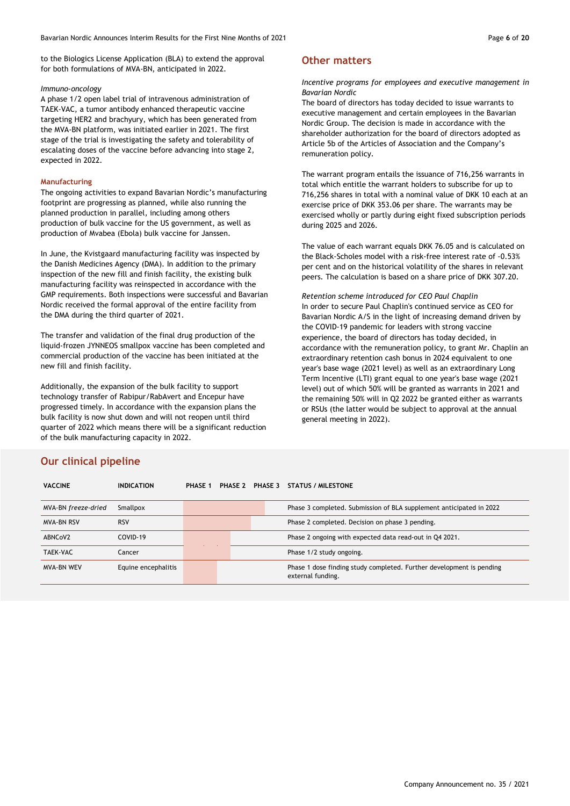to the Biologics License Application (BLA) to extend the approval for both formulations of MVA-BN, anticipated in 2022.

#### *Immuno-oncology*

A phase 1/2 open label trial of intravenous administration of TAEK-VAC, a tumor antibody enhanced therapeutic vaccine targeting HER2 and brachyury, which has been generated from the MVA-BN platform, was initiated earlier in 2021. The first stage of the trial is investigating the safety and tolerability of escalating doses of the vaccine before advancing into stage 2, expected in 2022.

### **Manufacturing**

The ongoing activities to expand Bavarian Nordic's manufacturing footprint are progressing as planned, while also running the planned production in parallel, including among others production of bulk vaccine for the US government, as well as production of Mvabea (Ebola) bulk vaccine for Janssen.

In June, the Kvistgaard manufacturing facility was inspected by the Danish Medicines Agency (DMA). In addition to the primary inspection of the new fill and finish facility, the existing bulk manufacturing facility was reinspected in accordance with the GMP requirements. Both inspections were successful and Bavarian Nordic received the formal approval of the entire facility from the DMA during the third quarter of 2021.

The transfer and validation of the final drug production of the liquid-frozen JYNNEOS smallpox vaccine has been completed and commercial production of the vaccine has been initiated at the new fill and finish facility.

Additionally, the expansion of the bulk facility to support technology transfer of Rabipur/RabAvert and Encepur have progressed timely. In accordance with the expansion plans the bulk facility is now shut down and will not reopen until third quarter of 2022 which means there will be a significant reduction of the bulk manufacturing capacity in 2022.

# **Other matters**

*Incentive programs for employees and executive management in Bavarian Nordic* 

The board of directors has today decided to issue warrants to executive management and certain employees in the Bavarian Nordic Group. The decision is made in accordance with the shareholder authorization for the board of directors adopted as Article 5b of the Articles of Association and the Company's remuneration policy.

The warrant program entails the issuance of 716,256 warrants in total which entitle the warrant holders to subscribe for up to 716,256 shares in total with a nominal value of DKK 10 each at an exercise price of DKK 353.06 per share. The warrants may be exercised wholly or partly during eight fixed subscription periods during 2025 and 2026.

The value of each warrant equals DKK 76.05 and is calculated on the Black-Scholes model with a risk-free interest rate of -0.53% per cent and on the historical volatility of the shares in relevant peers. The calculation is based on a share price of DKK 307.20.

# *Retention scheme introduced for CEO Paul Chaplin*

In order to secure Paul Chaplin's continued service as CEO for Bavarian Nordic A/S in the light of increasing demand driven by the COVID-19 pandemic for leaders with strong vaccine experience, the board of directors has today decided, in accordance with the remuneration policy, to grant Mr. Chaplin an extraordinary retention cash bonus in 2024 equivalent to one year's base wage (2021 level) as well as an extraordinary Long Term Incentive (LTI) grant equal to one year's base wage (2021 level) out of which 50% will be granted as warrants in 2021 and the remaining 50% will in Q2 2022 be granted either as warrants or RSUs (the latter would be subject to approval at the annual general meeting in 2022).

# **Our clinical pipeline**

| <b>VACCINE</b>      | <b>INDICATION</b>   | <b>PHASE 1</b> | PHASE 2 | <b>PHASE 3</b> | <b>STATUS / MILESTONE</b>                                                                 |
|---------------------|---------------------|----------------|---------|----------------|-------------------------------------------------------------------------------------------|
| MVA-BN freeze-dried | Smallpox            |                |         |                | Phase 3 completed. Submission of BLA supplement anticipated in 2022                       |
| <b>MVA-BN RSV</b>   | <b>RSV</b>          |                |         |                | Phase 2 completed. Decision on phase 3 pending.                                           |
| ABNCoV <sub>2</sub> | $COVID-19$          |                |         |                | Phase 2 ongoing with expected data read-out in Q4 2021.                                   |
| TAEK-VAC            | Cancer              |                |         |                | Phase 1/2 study ongoing.                                                                  |
| <b>MVA-BN WFV</b>   | Equine encephalitis |                |         |                | Phase 1 dose finding study completed. Further development is pending<br>external funding. |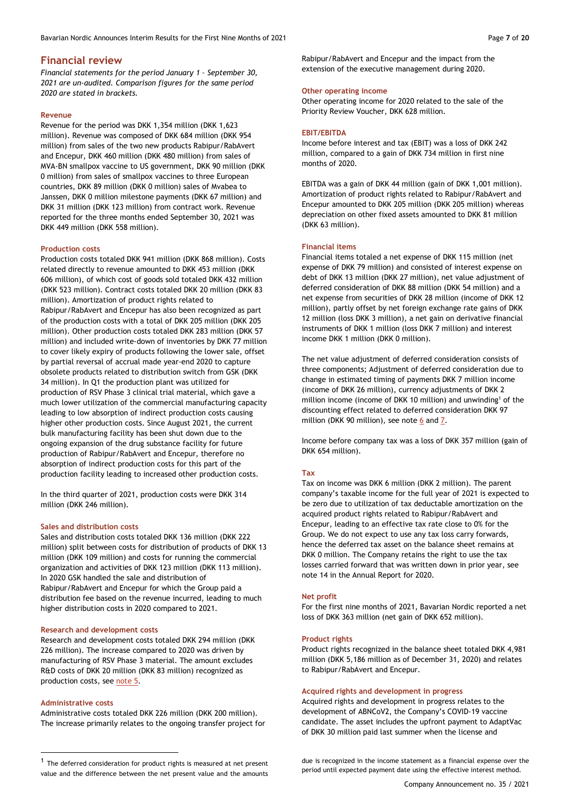# **Financial review**

*Financial statements for the period January 1 – September 30, 2021 are un-audited. Comparison figures for the same period 2020 are stated in brackets.*

#### **Revenue**

Revenue for the period was DKK 1,354 million (DKK 1,623 million). Revenue was composed of DKK 684 million (DKK 954 million) from sales of the two new products Rabipur/RabAvert and Encepur, DKK 460 million (DKK 480 million) from sales of MVA-BN smallpox vaccine to US government, DKK 90 million (DKK 0 million) from sales of smallpox vaccines to three European countries, DKK 89 million (DKK 0 million) sales of Mvabea to Janssen, DKK 0 million milestone payments (DKK 67 million) and DKK 31 million (DKK 123 million) from contract work. Revenue reported for the three months ended September 30, 2021 was DKK 449 million (DKK 558 million).

#### **Production costs**

Production costs totaled DKK 941 million (DKK 868 million). Costs related directly to revenue amounted to DKK 453 million (DKK 606 million), of which cost of goods sold totaled DKK 432 million (DKK 523 million). Contract costs totaled DKK 20 million (DKK 83 million). Amortization of product rights related to Rabipur/RabAvert and Encepur has also been recognized as part of the production costs with a total of DKK 205 million (DKK 205 million). Other production costs totaled DKK 283 million (DKK 57 million) and included write-down of inventories by DKK 77 million to cover likely expiry of products following the lower sale, offset by partial reversal of accrual made year-end 2020 to capture obsolete products related to distribution switch from GSK (DKK 34 million). In Q1 the production plant was utilized for production of RSV Phase 3 clinical trial material, which gave a much lower utilization of the commercial manufacturing capacity leading to low absorption of indirect production costs causing higher other production costs. Since August 2021, the current bulk manufacturing facility has been shut down due to the ongoing expansion of the drug substance facility for future production of Rabipur/RabAvert and Encepur, therefore no absorption of indirect production costs for this part of the production facility leading to increased other production costs.

In the third quarter of 2021, production costs were DKK 314 million (DKK 246 million).

#### **Sales and distribution costs**

Sales and distribution costs totaled DKK 136 million (DKK 222 million) split between costs for distribution of products of DKK 13 million (DKK 109 million) and costs for running the commercial organization and activities of DKK 123 million (DKK 113 million). In 2020 GSK handled the sale and distribution of Rabipur/RabAvert and Encepur for which the Group paid a distribution fee based on the revenue incurred, leading to much higher distribution costs in 2020 compared to 2021.

#### **Research and development costs**

Research and development costs totaled DKK 294 million (DKK 226 million). The increase compared to 2020 was driven by manufacturing of RSV Phase 3 material. The amount excludes R&D costs of DKK 20 million (DKK 83 million) recognized as production costs, se[e note 5.](#page-14-0)

#### **Administrative costs**

Administrative costs totaled DKK 226 million (DKK 200 million). The increase primarily relates to the ongoing transfer project for

Rabipur/RabAvert and Encepur and the impact from the extension of the executive management during 2020.

#### **Other operating income**

Other operating income for 2020 related to the sale of the Priority Review Voucher, DKK 628 million.

#### **EBIT/EBITDA**

Income before interest and tax (EBIT) was a loss of DKK 242 million, compared to a gain of DKK 734 million in first nine months of 2020.

EBITDA was a gain of DKK 44 million (gain of DKK 1,001 million). Amortization of product rights related to Rabipur/RabAvert and Encepur amounted to DKK 205 million (DKK 205 million) whereas depreciation on other fixed assets amounted to DKK 81 million (DKK 63 million).

#### **Financial items**

Financial items totaled a net expense of DKK 115 million (net expense of DKK 79 million) and consisted of interest expense on debt of DKK 13 million (DKK 27 million), net value adjustment of deferred consideration of DKK 88 million (DKK 54 million) and a net expense from securities of DKK 28 million (income of DKK 12 million), partly offset by net foreign exchange rate gains of DKK 12 million (loss DKK 3 million), a net gain on derivative financial instruments of DKK 1 million (loss DKK 7 million) and interest income DKK 1 million (DKK 0 million).

The net value adjustment of deferred consideration consists of three components; Adjustment of deferred consideration due to change in estimated timing of payments DKK 7 million income (income of DKK 26 million), currency adjustments of DKK 2 million income (income of DKK 10 million) and unwinding<sup>1</sup> of the discounting effect related to deferred consideration DKK 97 million (DKK 90 million), see note  $6$  and  $7$ .

Income before company tax was a loss of DKK 357 million (gain of DKK 654 million).

#### **Tax**

Tax on income was DKK 6 million (DKK 2 million). The parent company's taxable income for the full year of 2021 is expected to be zero due to utilization of tax deductable amortization on the acquired product rights related to Rabipur/RabAvert and Encepur, leading to an effective tax rate close to 0% for the Group. We do not expect to use any tax loss carry forwards, hence the deferred tax asset on the balance sheet remains at DKK 0 million. The Company retains the right to use the tax losses carried forward that was written down in prior year, see note 14 in the Annual Report for 2020.

#### **Net profit**

For the first nine months of 2021, Bavarian Nordic reported a net loss of DKK 363 million (net gain of DKK 652 million).

#### **Product rights**

Product rights recognized in the balance sheet totaled DKK 4,981 million (DKK 5,186 million as of December 31, 2020) and relates to Rabipur/RabAvert and Encepur.

#### **Acquired rights and development in progress**

Acquired rights and development in progress relates to the development of ABNCoV2, the Company's COVID-19 vaccine candidate. The asset includes the upfront payment to AdaptVac of DKK 30 million paid last summer when the license and

due is recognized in the income statement as a financial expense over the period until expected payment date using the effective interest method.

 $<sup>1</sup>$  The deferred consideration for product rights is measured at net present</sup> value and the difference between the net present value and the amounts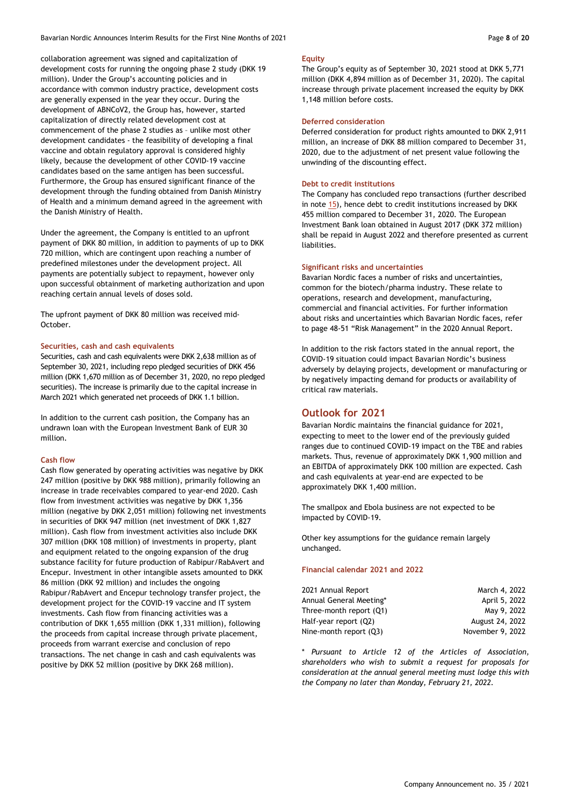collaboration agreement was signed and capitalization of development costs for running the ongoing phase 2 study (DKK 19 million). Under the Group's accounting policies and in accordance with common industry practice, development costs are generally expensed in the year they occur. During the development of ABNCoV2, the Group has, however, started capitalization of directly related development cost at commencement of the phase 2 studies as – unlike most other development candidates - the feasibility of developing a final vaccine and obtain regulatory approval is considered highly likely, because the development of other COVID-19 vaccine candidates based on the same antigen has been successful. Furthermore, the Group has ensured significant finance of the development through the funding obtained from Danish Ministry of Health and a minimum demand agreed in the agreement with the Danish Ministry of Health.

Under the agreement, the Company is entitled to an upfront payment of DKK 80 million, in addition to payments of up to DKK 720 million, which are contingent upon reaching a number of predefined milestones under the development project. All payments are potentially subject to repayment, however only upon successful obtainment of marketing authorization and upon reaching certain annual levels of doses sold.

The upfront payment of DKK 80 million was received mid-October.

#### **Securities, cash and cash equivalents**

Securities, cash and cash equivalents were DKK 2,638 million as of September 30, 2021, including repo pledged securities of DKK 456 million (DKK 1,670 million as of December 31, 2020, no repo pledged securities). The increase is primarily due to the capital increase in March 2021 which generated net proceeds of DKK 1.1 billion.

In addition to the current cash position, the Company has an undrawn loan with the European Investment Bank of EUR 30 million.

### **Cash flow**

Cash flow generated by operating activities was negative by DKK 247 million (positive by DKK 988 million), primarily following an increase in trade receivables compared to year-end 2020. Cash flow from investment activities was negative by DKK 1,356 million (negative by DKK 2,051 million) following net investments in securities of DKK 947 million (net investment of DKK 1,827 million). Cash flow from investment activities also include DKK 307 million (DKK 108 million) of investments in property, plant and equipment related to the ongoing expansion of the drug substance facility for future production of Rabipur/RabAvert and Encepur. Investment in other intangible assets amounted to DKK 86 million (DKK 92 million) and includes the ongoing Rabipur/RabAvert and Encepur technology transfer project, the development project for the COVID-19 vaccine and IT system investments. Cash flow from financing activities was a contribution of DKK 1,655 million (DKK 1,331 million), following the proceeds from capital increase through private placement, proceeds from warrant exercise and conclusion of repo transactions. The net change in cash and cash equivalents was positive by DKK 52 million (positive by DKK 268 million).

#### **Equity**

The Group's equity as of September 30, 2021 stood at DKK 5,771 million (DKK 4,894 million as of December 31, 2020). The capital increase through private placement increased the equity by DKK 1,148 million before costs.

### **Deferred consideration**

Deferred consideration for product rights amounted to DKK 2,911 million, an increase of DKK 88 million compared to December 31, 2020, due to the adjustment of net present value following the unwinding of the discounting effect.

### **Debt to credit institutions**

The Company has concluded repo transactions (further described in note [15\)](#page-16-0), hence debt to credit institutions increased by DKK 455 million compared to December 31, 2020. The European Investment Bank loan obtained in August 2017 (DKK 372 million) shall be repaid in August 2022 and therefore presented as current liabilities.

#### **Significant risks and uncertainties**

Bavarian Nordic faces a number of risks and uncertainties, common for the biotech/pharma industry. These relate to operations, research and development, manufacturing, commercial and financial activities. For further information about risks and uncertainties which Bavarian Nordic faces, refer to page 48-51 "Risk Management" in the 2020 Annual Report.

In addition to the risk factors stated in the annual report, the COVID-19 situation could impact Bavarian Nordic's business adversely by delaying projects, development or manufacturing or by negatively impacting demand for products or availability of critical raw materials.

# **Outlook for 2021**

Bavarian Nordic maintains the financial guidance for 2021, expecting to meet to the lower end of the previously guided ranges due to continued COVID-19 impact on the TBE and rabies markets. Thus, revenue of approximately DKK 1,900 million and an EBITDA of approximately DKK 100 million are expected. Cash and cash equivalents at year-end are expected to be approximately DKK 1,400 million.

The smallpox and Ebola business are not expected to be impacted by COVID-19.

Other key assumptions for the guidance remain largely unchanged.

# **Financial calendar 2021 and 2022**

| 2021 Annual Report      | March 4, 2022    |
|-------------------------|------------------|
| Annual General Meeting* | April 5, 2022    |
| Three-month report (Q1) | May 9, 2022      |
| Half-year report (Q2)   | August 24, 2022  |
| Nine-month report (Q3)  | November 9, 2022 |

\* *Pursuant to Article 12 of the Articles of Association, shareholders who wish to submit a request for proposals for consideration at the annual general meeting must lodge this with the Company no later than Monday, February 21, 2022.*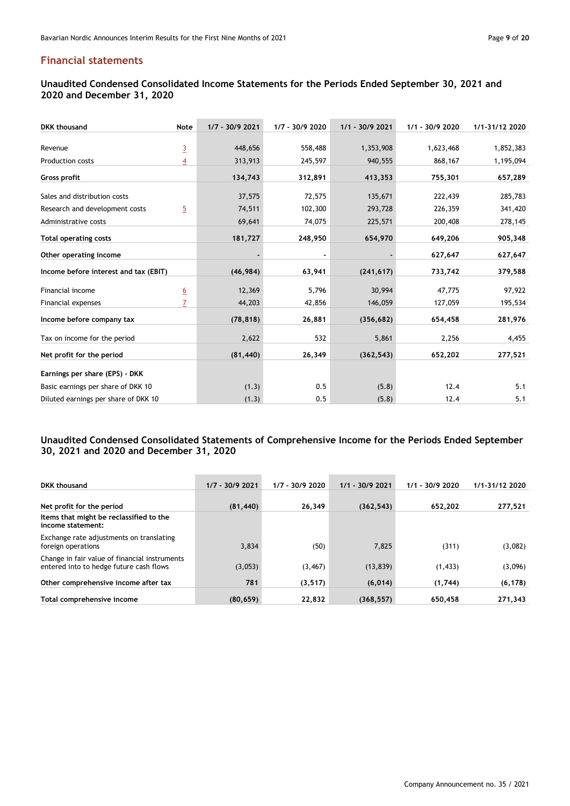# **Financial statements**

# **Unaudited Condensed Consolidated Income Statements for the Periods Ended September 30, 2021 and 2020 and December 31, 2020**

| <b>DKK thousand</b>                   | Note            | 1/7 - 30/9 2021 | 1/7 - 30/9 2020 | $1/1 - 30/9$ 2021 | 1/1 - 30/9 2020 | 1/1-31/12 2020 |
|---------------------------------------|-----------------|-----------------|-----------------|-------------------|-----------------|----------------|
|                                       |                 |                 |                 |                   |                 |                |
| Revenue                               | 3               | 448,656         | 558,488         | 1,353,908         | 1,623,468       | 1,852,383      |
| Production costs                      | 4               | 313,913         | 245,597         | 940,555           | 868,167         | 1,195,094      |
| <b>Gross profit</b>                   |                 | 134,743         | 312,891         | 413,353           | 755,301         | 657,289        |
| Sales and distribution costs          |                 | 37,575          | 72,575          | 135,671           | 222,439         | 285,783        |
| Research and development costs        | $\overline{5}$  | 74,511          | 102,300         | 293,728           | 226,359         | 341,420        |
| Administrative costs                  |                 | 69,641          | 74,075          | 225,571           | 200,408         | 278,145        |
| Total operating costs                 |                 | 181,727         | 248,950         | 654,970           | 649,206         | 905,348        |
| Other operating income                |                 |                 | $\blacksquare$  |                   | 627,647         | 627,647        |
| Income before interest and tax (EBIT) |                 | (46, 984)       | 63,941          | (241, 617)        | 733,742         | 379,588        |
| Financial income                      | $\underline{6}$ | 12,369          | 5,796           | 30,994            | 47,775          | 97,922         |
| Financial expenses                    | 7               | 44,203          | 42,856          | 146,059           | 127,059         | 195,534        |
| Income before company tax             |                 | (78, 818)       | 26,881          | (356, 682)        | 654,458         | 281,976        |
| Tax on income for the period          |                 | 2,622           | 532             | 5,861             | 2,256           | 4,455          |
| Net profit for the period             |                 | (81, 440)       | 26,349          | (362, 543)        | 652,202         | 277,521        |
| Earnings per share (EPS) - DKK        |                 |                 |                 |                   |                 |                |
| Basic earnings per share of DKK 10    |                 | (1.3)           | 0.5             | (5.8)             | 12.4            | 5.1            |
| Diluted earnings per share of DKK 10  |                 | (1.3)           | 0.5             | (5.8)             | 12.4            | 5.1            |

# **Unaudited Condensed Consolidated Statements of Comprehensive Income for the Periods Ended September 30, 2021 and 2020 and December 31, 2020**

| DKK thousand                                                                             | $1/7 - 30/9$ 2021 | 1/7 - 30/9 2020 | $1/1 - 30/9 2021$ | $1/1 - 30/9 2020$ | 1/1-31/12 2020 |
|------------------------------------------------------------------------------------------|-------------------|-----------------|-------------------|-------------------|----------------|
|                                                                                          |                   |                 |                   |                   |                |
| Net profit for the period                                                                | (81, 440)         | 26.349          | (362, 543)        | 652.202           | 277,521        |
| Items that might be reclassified to the<br>income statement:                             |                   |                 |                   |                   |                |
| Exchange rate adjustments on translating<br>foreign operations                           | 3,834             | (50)            | 7,825             | (311)             | (3,082)        |
| Change in fair value of financial instruments<br>entered into to hedge future cash flows | (3,053)           | (3, 467)        | (13, 839)         | (1, 433)          | (3,096)        |
| Other comprehensive income after tax                                                     | 781               | (3, 517)        | (6, 014)          | (1,744)           | (6, 178)       |
| Total comprehensive income                                                               | (80, 659)         | 22,832          | (368, 557)        | 650,458           | 271,343        |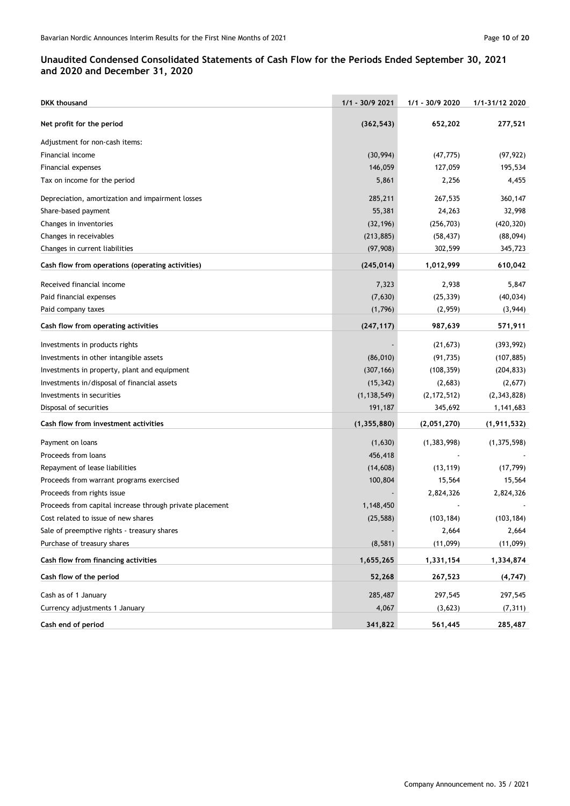# **Unaudited Condensed Consolidated Statements of Cash Flow for the Periods Ended September 30, 2021 and 2020 and December 31, 2020**

| <b>DKK thousand</b>                                      | $1/1 - 30/9 2021$ | 1/1 - 30/9 2020 | 1/1-31/12 2020 |
|----------------------------------------------------------|-------------------|-----------------|----------------|
| Net profit for the period                                | (362, 543)        | 652,202         | 277,521        |
| Adjustment for non-cash items:                           |                   |                 |                |
| Financial income                                         | (30, 994)         | (47, 775)       | (97, 922)      |
| Financial expenses                                       | 146,059           | 127,059         | 195,534        |
| Tax on income for the period                             | 5,861             | 2,256           | 4,455          |
| Depreciation, amortization and impairment losses         | 285,211           | 267,535         | 360,147        |
| Share-based payment                                      | 55,381            | 24,263          | 32,998         |
| Changes in inventories                                   | (32, 196)         | (256, 703)      | (420, 320)     |
| Changes in receivables                                   | (213, 885)        | (58, 437)       | (88,094)       |
| Changes in current liabilities                           | (97, 908)         | 302,599         | 345,723        |
| Cash flow from operations (operating activities)         | (245, 014)        | 1,012,999       | 610,042        |
| Received financial income                                | 7,323             | 2,938           | 5,847          |
| Paid financial expenses                                  | (7,630)           | (25, 339)       | (40, 034)      |
| Paid company taxes                                       | (1,796)           | (2,959)         | (3,944)        |
| Cash flow from operating activities                      | (247, 117)        | 987,639         | 571,911        |
| Investments in products rights                           |                   | (21, 673)       | (393, 992)     |
| Investments in other intangible assets                   | (86, 010)         | (91, 735)       | (107, 885)     |
| Investments in property, plant and equipment             | (307, 166)        | (108, 359)      | (204, 833)     |
| Investments in/disposal of financial assets              | (15, 342)         | (2,683)         | (2,677)        |
| Investments in securities                                | (1, 138, 549)     | (2, 172, 512)   | (2,343,828)    |
| Disposal of securities                                   | 191,187           | 345,692         | 1,141,683      |
| Cash flow from investment activities                     | (1, 355, 880)     | (2,051,270)     | (1, 911, 532)  |
| Payment on loans                                         | (1,630)           | (1, 383, 998)   | (1, 375, 598)  |
| Proceeds from loans                                      | 456,418           |                 |                |
| Repayment of lease liabilities                           | (14, 608)         | (13, 119)       | (17, 799)      |
| Proceeds from warrant programs exercised                 | 100,804           | 15,564          | 15,564         |
| Proceeds from rights issue                               |                   | 2,824,326       | 2,824,326      |
| Proceeds from capital increase through private placement | 1,148,450         |                 |                |
| Cost related to issue of new shares                      | (25, 588)         | (103, 184)      | (103, 184)     |
| Sale of preemptive rights - treasury shares              |                   | 2,664           | 2,664          |
| Purchase of treasury shares                              | (8, 581)          | (11,099)        | (11,099)       |
| Cash flow from financing activities                      | 1,655,265         | 1,331,154       | 1,334,874      |
| Cash flow of the period                                  | 52,268            | 267,523         | (4, 747)       |
| Cash as of 1 January                                     | 285,487           | 297,545         | 297,545        |
| Currency adjustments 1 January                           | 4,067             | (3,623)         | (7, 311)       |
| Cash end of period                                       | 341,822           | 561,445         | 285,487        |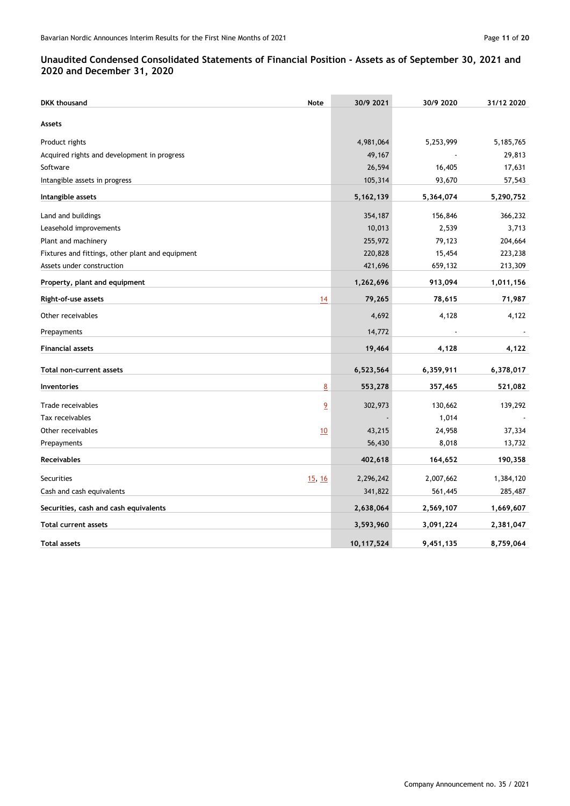# **Unaudited Condensed Consolidated Statements of Financial Position - Assets as of September 30, 2021 and 2020 and December 31, 2020**

| <b>DKK thousand</b><br>Note                      | 30/9 2021  | 30/9 2020 | 31/12 2020 |
|--------------------------------------------------|------------|-----------|------------|
| Assets                                           |            |           |            |
| Product rights                                   | 4,981,064  | 5,253,999 | 5,185,765  |
| Acquired rights and development in progress      | 49,167     |           | 29,813     |
| Software                                         | 26,594     | 16,405    | 17,631     |
| Intangible assets in progress                    | 105,314    | 93,670    | 57,543     |
| Intangible assets                                | 5,162,139  | 5,364,074 | 5,290,752  |
| Land and buildings                               | 354,187    | 156,846   | 366,232    |
| Leasehold improvements                           | 10,013     | 2,539     | 3,713      |
| Plant and machinery                              | 255,972    | 79,123    | 204,664    |
| Fixtures and fittings, other plant and equipment | 220,828    | 15,454    | 223,238    |
| Assets under construction                        | 421,696    | 659,132   | 213,309    |
| Property, plant and equipment                    | 1,262,696  | 913,094   | 1,011,156  |
| Right-of-use assets<br>14                        | 79,265     | 78,615    | 71,987     |
| Other receivables                                | 4,692      | 4,128     | 4,122      |
| Prepayments                                      | 14,772     |           |            |
| <b>Financial assets</b>                          | 19,464     | 4,128     | 4,122      |
| Total non-current assets                         | 6,523,564  | 6,359,911 | 6,378,017  |
| 8<br>Inventories                                 | 553,278    | 357,465   | 521,082    |
| $\overline{9}$<br>Trade receivables              | 302,973    | 130,662   | 139,292    |
| Tax receivables                                  |            | 1,014     |            |
| Other receivables<br>10                          | 43,215     | 24,958    | 37,334     |
| Prepayments                                      | 56,430     | 8,018     | 13,732     |
| <b>Receivables</b>                               | 402,618    | 164,652   | 190,358    |
| 15, 16<br>Securities                             | 2,296,242  | 2,007,662 | 1,384,120  |
| Cash and cash equivalents                        | 341,822    | 561,445   | 285,487    |
| Securities, cash and cash equivalents            | 2,638,064  | 2,569,107 | 1,669,607  |
| <b>Total current assets</b>                      | 3,593,960  | 3,091,224 | 2,381,047  |
| <b>Total assets</b>                              | 10,117,524 | 9,451,135 | 8,759,064  |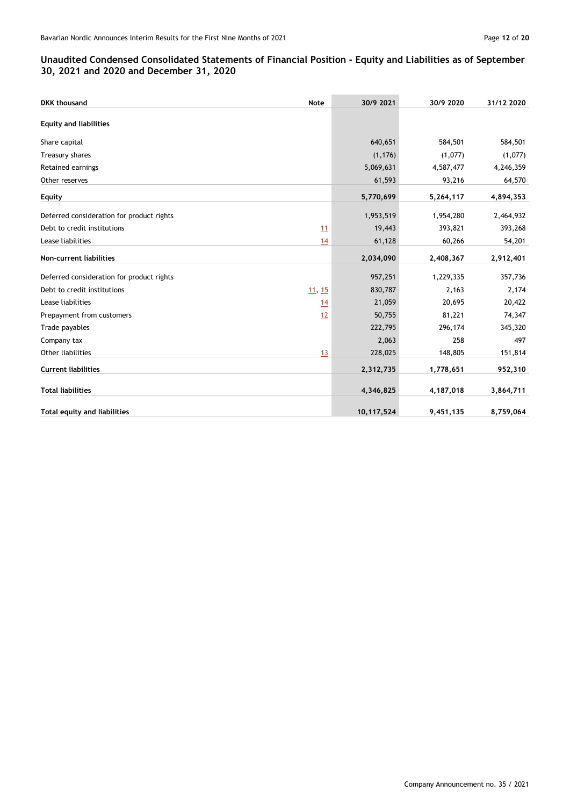# **Unaudited Condensed Consolidated Statements of Financial Position - Equity and Liabilities as of September 30, 2021 and 2020 and December 31, 2020**

| <b>DKK thousand</b>                       | Note   | 30/9 2021  | 30/9 2020 | 31/12 2020 |
|-------------------------------------------|--------|------------|-----------|------------|
| <b>Equity and liabilities</b>             |        |            |           |            |
| Share capital                             |        | 640,651    | 584,501   | 584,501    |
| Treasury shares                           |        | (1, 176)   | (1,077)   | (1,077)    |
| Retained earnings                         |        | 5,069,631  | 4,587,477 | 4,246,359  |
| Other reserves                            |        | 61,593     | 93,216    | 64,570     |
| Equity                                    |        | 5,770,699  | 5,264,117 | 4,894,353  |
| Deferred consideration for product rights |        | 1,953,519  | 1,954,280 | 2,464,932  |
| Debt to credit institutions               | 11     | 19,443     | 393,821   | 393,268    |
| Lease liabilities                         | 14     | 61,128     | 60,266    | 54,201     |
| Non-current liabilities                   |        | 2,034,090  | 2,408,367 | 2,912,401  |
| Deferred consideration for product rights |        | 957,251    | 1,229,335 | 357,736    |
| Debt to credit institutions               | 11, 15 | 830,787    | 2,163     | 2,174      |
| Lease liabilities                         | 14     | 21,059     | 20,695    | 20,422     |
| Prepayment from customers                 | 12     | 50,755     | 81,221    | 74,347     |
| Trade payables                            |        | 222,795    | 296,174   | 345,320    |
| Company tax                               |        | 2,063      | 258       | 497        |
| Other liabilities                         | 13     | 228,025    | 148,805   | 151,814    |
| <b>Current liabilities</b>                |        | 2,312,735  | 1,778,651 | 952,310    |
| <b>Total liabilities</b>                  |        | 4,346,825  | 4,187,018 | 3,864,711  |
| Total equity and liabilities              |        | 10,117,524 | 9,451,135 | 8,759,064  |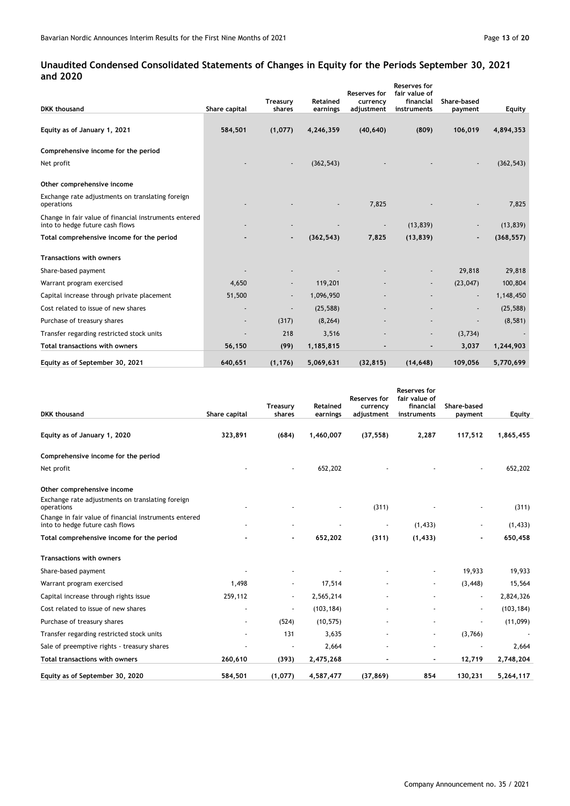#### **Unaudited Condensed Consolidated Statements of Changes in Equity for the Periods September 30, 2021 and 2020 Reserves for**

| <b>DKK thousand</b>                                                                      | Share capital  | Treasury<br>shares       | <b>Retained</b><br>earnings | Reserves for<br>currency<br>adjustment | וטו כשיר שכשה<br>fair value of<br>financial<br>instruments | Share-based<br>payment | Equity     |
|------------------------------------------------------------------------------------------|----------------|--------------------------|-----------------------------|----------------------------------------|------------------------------------------------------------|------------------------|------------|
|                                                                                          |                |                          |                             |                                        |                                                            |                        |            |
| Equity as of January 1, 2021                                                             | 584,501        | (1,077)                  | 4,246,359                   | (40, 640)                              | (809)                                                      | 106,019                | 4,894,353  |
| Comprehensive income for the period                                                      |                |                          |                             |                                        |                                                            |                        |            |
| Net profit                                                                               |                | $\overline{a}$           | (362, 543)                  |                                        |                                                            |                        | (362, 543) |
| Other comprehensive income                                                               |                |                          |                             |                                        |                                                            |                        |            |
| Exchange rate adjustments on translating foreign<br>operations                           |                |                          |                             | 7,825                                  |                                                            |                        | 7,825      |
| Change in fair value of financial instruments entered<br>into to hedge future cash flows |                |                          |                             |                                        | (13, 839)                                                  |                        | (13, 839)  |
| Total comprehensive income for the period                                                |                | $\overline{\phantom{0}}$ | (362, 543)                  | 7,825                                  | (13, 839)                                                  |                        | (368, 557) |
| <b>Transactions with owners</b>                                                          |                |                          |                             |                                        |                                                            |                        |            |
| Share-based payment                                                                      |                |                          |                             |                                        |                                                            | 29,818                 | 29,818     |
| Warrant program exercised                                                                | 4,650          | $\overline{\phantom{a}}$ | 119,201                     |                                        |                                                            | (23, 047)              | 100,804    |
| Capital increase through private placement                                               | 51,500         | $\overline{\phantom{a}}$ | 1,096,950                   |                                        |                                                            |                        | 1,148,450  |
| Cost related to issue of new shares                                                      |                |                          | (25, 588)                   |                                        |                                                            |                        | (25, 588)  |
| Purchase of treasury shares                                                              | $\blacksquare$ | (317)                    | (8, 264)                    |                                        |                                                            |                        | (8, 581)   |
| Transfer regarding restricted stock units                                                |                | 218                      | 3,516                       |                                        |                                                            | (3,734)                |            |
| Total transactions with owners                                                           | 56,150         | (99)                     | 1,185,815                   |                                        |                                                            | 3,037                  | 1,244,903  |
| Equity as of September 30, 2021                                                          | 640,651        | (1, 176)                 | 5,069,631                   | (32, 815)                              | (14, 648)                                                  | 109,056                | 5,770,699  |

| <b>DKK thousand</b>                                                                      | Share capital | Treasury<br>shares       | Retained<br>earnings | <b>Reserves for</b><br>currency<br>adjustment | Reserves for<br>fair value of<br>financial<br>instruments | Share-based<br>payment | <b>Equity</b> |
|------------------------------------------------------------------------------------------|---------------|--------------------------|----------------------|-----------------------------------------------|-----------------------------------------------------------|------------------------|---------------|
| Equity as of January 1, 2020                                                             | 323,891       | (684)                    | 1,460,007            | (37, 558)                                     | 2,287                                                     | 117,512                | 1,865,455     |
| Comprehensive income for the period                                                      |               |                          |                      |                                               |                                                           |                        |               |
| Net profit                                                                               |               |                          | 652,202              |                                               |                                                           |                        | 652,202       |
| Other comprehensive income                                                               |               |                          |                      |                                               |                                                           |                        |               |
| Exchange rate adjustments on translating foreign<br>operations                           |               |                          |                      | (311)                                         |                                                           |                        | (311)         |
| Change in fair value of financial instruments entered<br>into to hedge future cash flows |               |                          |                      |                                               | (1, 433)                                                  |                        | (1, 433)      |
| Total comprehensive income for the period                                                |               | $\blacksquare$           | 652,202              | (311)                                         | (1, 433)                                                  |                        | 650,458       |
| <b>Transactions with owners</b>                                                          |               |                          |                      |                                               |                                                           |                        |               |
| Share-based payment                                                                      |               |                          |                      |                                               |                                                           | 19,933                 | 19,933        |
| Warrant program exercised                                                                | 1,498         |                          | 17,514               |                                               |                                                           | (3, 448)               | 15,564        |
| Capital increase through rights issue                                                    | 259,112       | $\overline{\phantom{a}}$ | 2,565,214            |                                               |                                                           | $\blacksquare$         | 2,824,326     |
| Cost related to issue of new shares                                                      |               | $\blacksquare$           | (103, 184)           |                                               |                                                           |                        | (103, 184)    |
| Purchase of treasury shares                                                              |               | (524)                    | (10, 575)            |                                               |                                                           |                        | (11,099)      |
| Transfer regarding restricted stock units                                                |               | 131                      | 3,635                |                                               |                                                           | (3,766)                |               |
| Sale of preemptive rights - treasury shares                                              |               | ÷                        | 2,664                |                                               |                                                           |                        | 2,664         |
| Total transactions with owners                                                           | 260,610       | (393)                    | 2,475,268            |                                               | ۰                                                         | 12,719                 | 2,748,204     |
| Equity as of September 30, 2020                                                          | 584,501       | (1,077)                  | 4,587,477            | (37, 869)                                     | 854                                                       | 130,231                | 5,264,117     |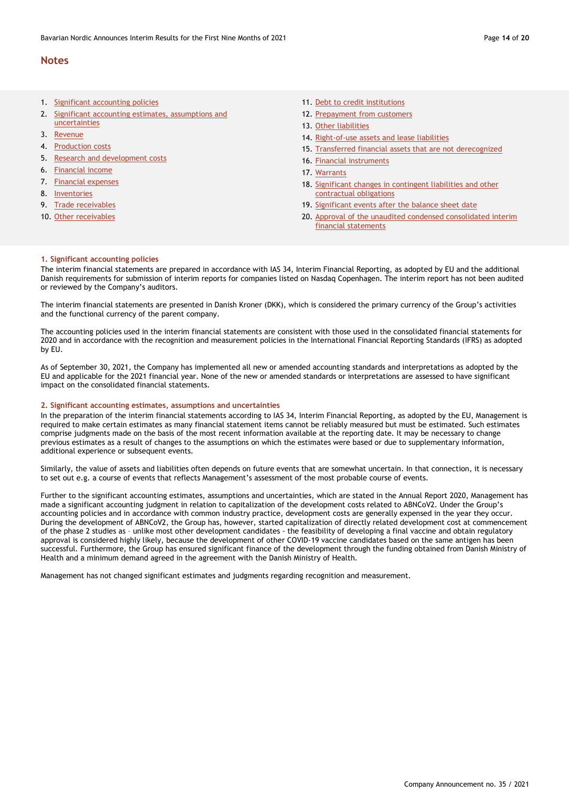# **Notes**

- 1. [Significant accounting policies](#page-13-0)
- 2. [Significant accounting estimates, assumptions and](#page-13-1)  [uncertainties](#page-13-1)
- 3. [Revenue](#page-14-3)
- 4. [Production costs](#page-14-4)
- 5. [Research and development costs](#page-14-0)
- 6. [Financial income](#page-14-1)
- 7. [Financial expenses](#page-14-2)
- 8. [Inventories](#page-15-0)
- 9. [Trade receivables](#page-15-1)
- <span id="page-13-0"></span>10. [Other receivables](#page-15-2)
- 11. [Debt to credit institutions](#page-15-3)
- 12. [Prepayment from customers](#page-15-4)
- 13. [Other liabilities](#page-15-5)
- 14. [Right-of-use assets and lease liabilities](#page-16-1)
- 15. [Transferred financial assets that are not derecognized](#page-16-0)
- 16. [Financial instruments](#page-17-0)
- 17. [Warrants](#page-18-0)
- 18. [Significant changes in contingent liabilities and other](#page-18-1)  [contractual obligations](#page-18-1)
- 19. [Significant events after the balance sheet date](#page-18-2)
- 20. [Approval of the unaudited condensed consolidated interim](#page-18-3)  [financial statements](#page-18-3)

#### **1. Significant accounting policies**

The interim financial statements are prepared in accordance with IAS 34, Interim Financial Reporting, as adopted by EU and the additional Danish requirements for submission of interim reports for companies listed on Nasdaq Copenhagen. The [interim report](pp://General%20Data/Report%20type?taxonomy=DKGAAP&labellanguage=en&period=1_Consolidated&allowhtml=false&merge=false) has not been audited or reviewed by the Company's auditors.

The interim financial statements are presented in Danish Kroner (DKK), which is considered the primary currency of the Group's activities and the functional currency of the parent company.

The accounting policies used in the interim financial statements are consistent with those used in the consolidated financial statements for 2020 and in accordance with the recognition and measurement policies in the International Financial Reporting Standards (IFRS) as adopted by EU.

As of September 30, 2021, the Company has implemented all new or amended accounting standards and interpretations as adopted by the EU and applicable for the 2021 financial year. None of the new or amended standards or interpretations are assessed to have significant impact on the consolidated financial statements.

#### <span id="page-13-1"></span>**2. Significant accounting estimates, assumptions and uncertainties**

In the preparation of the interim financial statements according to IAS 34, Interim Financial Reporting, as adopted by the EU, Management is required to make certain estimates as many financial statement items cannot be reliably measured but must be estimated. Such estimates comprise judgments made on the basis of the most recent information available at the reporting date. It may be necessary to change previous estimates as a result of changes to the assumptions on which the estimates were based or due to supplementary information, additional experience or subsequent events.

Similarly, the value of assets and liabilities often depends on future events that are somewhat uncertain. In that connection, it is necessary to set out e.g. a course of events that reflects Management's assessment of the most probable course of events.

Further to the significant accounting estimates, assumptions and uncertainties, which are stated in the Annual Report 2020, Management has made a significant accounting judgment in relation to capitalization of the development costs related to ABNCoV2. Under the Group's accounting policies and in accordance with common industry practice, development costs are generally expensed in the year they occur. During the development of ABNCoV2, the Group has, however, started capitalization of directly related development cost at commencement of the phase 2 studies as – unlike most other development candidates - the feasibility of developing a final vaccine and obtain regulatory approval is considered highly likely, because the development of other COVID-19 vaccine candidates based on the same antigen has been successful. Furthermore, the Group has ensured significant finance of the development through the funding obtained from Danish Ministry of Health and a minimum demand agreed in the agreement with the Danish Ministry of Health.

Management has not changed significant estimates and judgments regarding recognition and measurement.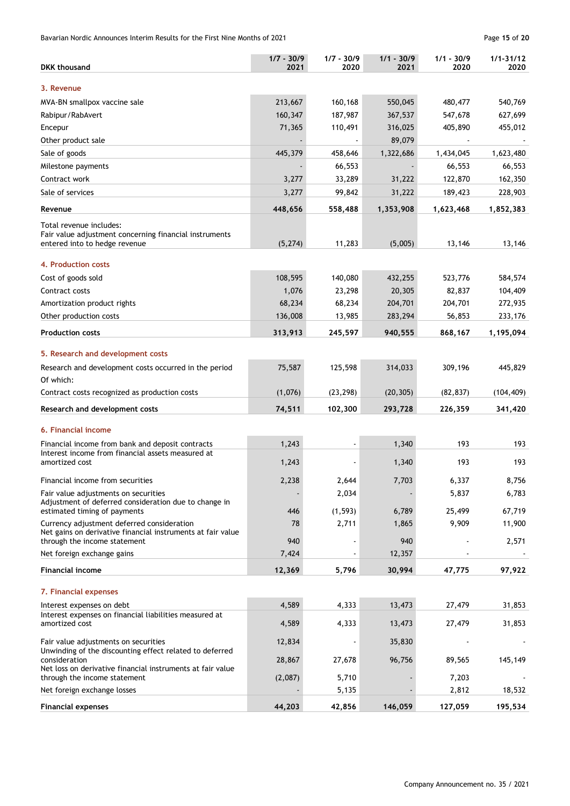Bavarian Nordic Announces Interim Results for the First Nine Months of 2021 **Page 15** of 20

<span id="page-14-4"></span><span id="page-14-3"></span><span id="page-14-2"></span><span id="page-14-1"></span><span id="page-14-0"></span>

| <b>DKK thousand</b>                                                                                                | $1/7 - 30/9$<br>2021 | $1/7 - 30/9$<br>2020 | $1/1 - 30/9$<br>2021 | $1/1 - 30/9$<br>2020 | $1/1 - 31/12$<br>2020 |
|--------------------------------------------------------------------------------------------------------------------|----------------------|----------------------|----------------------|----------------------|-----------------------|
| 3. Revenue                                                                                                         |                      |                      |                      |                      |                       |
| MVA-BN smallpox vaccine sale                                                                                       | 213,667              | 160,168              | 550,045              | 480,477              | 540,769               |
| Rabipur/RabAvert                                                                                                   | 160,347              | 187,987              | 367,537              | 547,678              | 627,699               |
| Encepur                                                                                                            | 71,365               | 110,491              | 316,025              | 405,890              | 455,012               |
| Other product sale                                                                                                 |                      |                      | 89,079               |                      |                       |
| Sale of goods                                                                                                      | 445,379              | 458,646              | 1,322,686            | 1,434,045            | 1,623,480             |
| Milestone payments                                                                                                 |                      | 66,553               |                      | 66,553               | 66,553                |
| Contract work                                                                                                      | 3,277                | 33,289               | 31,222               | 122,870              | 162,350               |
| Sale of services                                                                                                   | 3,277                | 99,842               | 31,222               | 189,423              | 228,903               |
| Revenue                                                                                                            | 448,656              | 558,488              | 1,353,908            | 1,623,468            | 1,852,383             |
| Total revenue includes:<br>Fair value adjustment concerning financial instruments<br>entered into to hedge revenue | (5, 274)             | 11,283               | (5,005)              | 13,146               | 13,146                |
| 4. Production costs                                                                                                |                      |                      |                      |                      |                       |
| Cost of goods sold                                                                                                 | 108,595              | 140,080              | 432,255              | 523,776              | 584,574               |
| Contract costs                                                                                                     | 1,076                | 23,298               | 20,305               | 82,837               | 104,409               |
| Amortization product rights                                                                                        | 68,234               | 68,234               | 204,701              | 204,701              | 272,935               |
| Other production costs                                                                                             | 136,008              | 13,985               | 283,294              | 56,853               | 233,176               |
|                                                                                                                    |                      |                      |                      |                      |                       |
| <b>Production costs</b>                                                                                            | 313,913              | 245,597              | 940,555              | 868,167              | 1,195,094             |
| 5. Research and development costs                                                                                  |                      |                      |                      |                      |                       |
| Research and development costs occurred in the period                                                              | 75,587               | 125,598              | 314,033              | 309,196              | 445,829               |
| Of which:                                                                                                          |                      |                      |                      |                      |                       |
| Contract costs recognized as production costs                                                                      | (1,076)              | (23, 298)            | (20, 305)            | (82, 837)            | (104, 409)            |
| Research and development costs                                                                                     | 74,511               | 102,300              | 293,728              | 226,359              | 341,420               |
| 6. Financial income                                                                                                |                      |                      |                      |                      |                       |
| Financial income from bank and deposit contracts                                                                   | 1,243                |                      | 1,340                | 193                  | 193                   |
| Interest income from financial assets measured at                                                                  |                      |                      |                      |                      |                       |
| amortized cost                                                                                                     | 1,243                |                      | 1,340                | 193                  | 193                   |
| Financial income from securities                                                                                   | 2,238                | 2,644                | 7,703                | 6,337                | 8,756                 |
| Fair value adjustments on securities<br>Adjustment of deferred consideration due to change in                      |                      | 2,034                |                      | 5,837                | 6,783                 |
| estimated timing of payments                                                                                       | 446                  | (1, 593)             | 6,789                | 25,499               | 67,719                |
| Currency adjustment deferred consideration                                                                         | 78                   | 2,711                | 1,865                | 9,909                | 11,900                |
| Net gains on derivative financial instruments at fair value<br>through the income statement                        | 940                  |                      | 940                  |                      | 2,571                 |
| Net foreign exchange gains                                                                                         | 7,424                |                      | 12,357               |                      |                       |
| <b>Financial income</b>                                                                                            | 12,369               | 5,796                | 30,994               | 47,775               | 97,922                |
| 7. Financial expenses                                                                                              |                      |                      |                      |                      |                       |
| Interest expenses on debt                                                                                          | 4,589                | 4,333                | 13,473               | 27,479               | 31,853                |
| Interest expenses on financial liabilities measured at                                                             |                      |                      |                      |                      |                       |
| amortized cost                                                                                                     | 4,589                | 4,333                | 13,473               | 27,479               | 31,853                |
| Fair value adjustments on securities<br>Unwinding of the discounting effect related to deferred                    | 12,834               |                      | 35,830               |                      |                       |
| consideration                                                                                                      | 28,867               | 27,678               | 96,756               | 89,565               | 145,149               |
| Net loss on derivative financial instruments at fair value<br>through the income statement                         | (2,087)              | 5,710                |                      | 7,203                |                       |
| Net foreign exchange losses                                                                                        |                      | 5,135                |                      | 2,812                | 18,532                |
| <b>Financial expenses</b>                                                                                          | 44,203               | 42,856               | 146,059              | 127,059              | 195,534               |
|                                                                                                                    |                      |                      |                      |                      |                       |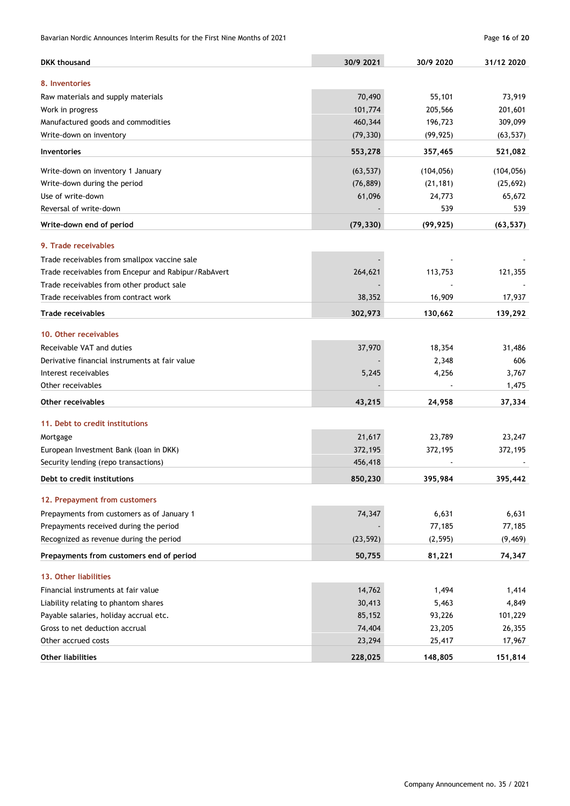Bavarian Nordic Announces Interim Results for the First Nine Months of 2021 **Page 16** of 20

<span id="page-15-5"></span><span id="page-15-4"></span><span id="page-15-3"></span><span id="page-15-2"></span><span id="page-15-1"></span><span id="page-15-0"></span>

| DKK thousand                                        | 30/9 2021 | 30/9 2020  | 31/12 2020 |
|-----------------------------------------------------|-----------|------------|------------|
| 8. Inventories                                      |           |            |            |
| Raw materials and supply materials                  | 70,490    | 55,101     | 73,919     |
| Work in progress                                    | 101,774   | 205,566    | 201,601    |
| Manufactured goods and commodities                  | 460,344   | 196,723    | 309,099    |
| Write-down on inventory                             | (79, 330) | (99, 925)  | (63, 537)  |
| Inventories                                         | 553,278   | 357,465    | 521,082    |
| Write-down on inventory 1 January                   | (63, 537) | (104, 056) | (104, 056) |
| Write-down during the period                        | (76, 889) | (21, 181)  | (25, 692)  |
| Use of write-down                                   | 61,096    | 24,773     | 65,672     |
| Reversal of write-down                              |           | 539        | 539        |
| Write-down end of period                            | (79, 330) | (99, 925)  | (63, 537)  |
| 9. Trade receivables                                |           |            |            |
| Trade receivables from smallpox vaccine sale        |           |            |            |
| Trade receivables from Encepur and Rabipur/RabAvert | 264,621   | 113,753    | 121,355    |
| Trade receivables from other product sale           |           |            |            |
| Trade receivables from contract work                | 38,352    | 16,909     | 17,937     |
| Trade receivables                                   | 302,973   | 130,662    | 139,292    |
| 10. Other receivables                               |           |            |            |
| Receivable VAT and duties                           | 37,970    | 18,354     | 31,486     |
| Derivative financial instruments at fair value      |           | 2,348      | 606        |
| Interest receivables                                | 5,245     | 4,256      | 3,767      |
| Other receivables                                   |           |            | 1,475      |
| Other receivables                                   | 43,215    | 24,958     | 37,334     |
| 11. Debt to credit institutions                     |           |            |            |
| Mortgage                                            | 21,617    | 23,789     | 23,247     |
| European Investment Bank (loan in DKK)              | 372,195   | 372,195    | 372,195    |
| Security lending (repo transactions)                | 456,418   |            |            |
| Debt to credit institutions                         | 850.230   | 395,984    | 395,442    |
| 12. Prepayment from customers                       |           |            |            |
| Prepayments from customers as of January 1          | 74,347    | 6,631      | 6,631      |
| Prepayments received during the period              |           | 77,185     | 77,185     |
| Recognized as revenue during the period             | (23, 592) | (2, 595)   | (9, 469)   |
| Prepayments from customers end of period            | 50,755    | 81,221     | 74,347     |
| 13. Other liabilities                               |           |            |            |
| Financial instruments at fair value                 | 14,762    | 1,494      | 1,414      |
| Liability relating to phantom shares                | 30,413    | 5,463      | 4,849      |
| Payable salaries, holiday accrual etc.              | 85,152    | 93,226     | 101,229    |
| Gross to net deduction accrual                      | 74,404    | 23,205     | 26,355     |
| Other accrued costs                                 | 23,294    | 25,417     | 17,967     |
| <b>Other liabilities</b>                            | 228,025   | 148,805    | 151,814    |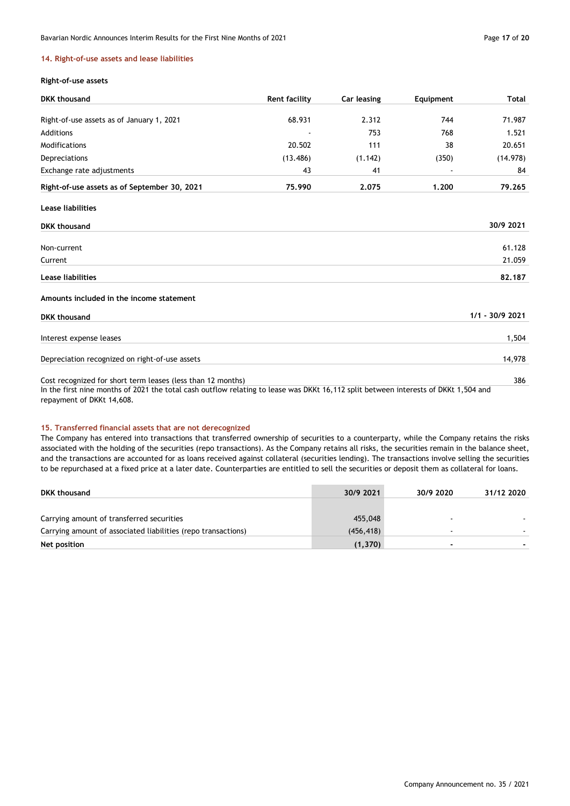### <span id="page-16-1"></span>**14. Right-of-use assets and lease liabilities**

### **Right-of-use assets**

| <b>DKK thousand</b>                                                                                                                                              | <b>Rent facility</b> | Car leasing | Equipment | <b>Total</b>      |
|------------------------------------------------------------------------------------------------------------------------------------------------------------------|----------------------|-------------|-----------|-------------------|
| Right-of-use assets as of January 1, 2021                                                                                                                        | 68.931               | 2.312       | 744       | 71.987            |
| Additions                                                                                                                                                        |                      | 753         | 768       | 1.521             |
| Modifications                                                                                                                                                    | 20.502               | 111         | 38        | 20.651            |
| Depreciations                                                                                                                                                    | (13.486)             | (1.142)     | (350)     | (14.978)          |
| Exchange rate adjustments                                                                                                                                        | 43                   | 41          |           | 84                |
| Right-of-use assets as of September 30, 2021                                                                                                                     | 75.990               | 2.075       | 1.200     | 79.265            |
| Lease liabilities                                                                                                                                                |                      |             |           |                   |
| <b>DKK thousand</b>                                                                                                                                              |                      |             |           | 30/9 2021         |
| Non-current                                                                                                                                                      |                      |             |           | 61.128            |
| Current                                                                                                                                                          |                      |             |           | 21.059            |
| <b>Lease liabilities</b>                                                                                                                                         |                      |             |           | 82.187            |
| Amounts included in the income statement                                                                                                                         |                      |             |           |                   |
| <b>DKK thousand</b>                                                                                                                                              |                      |             |           | $1/1 - 30/9$ 2021 |
| Interest expense leases                                                                                                                                          |                      |             |           | 1,504             |
| Depreciation recognized on right-of-use assets                                                                                                                   |                      |             |           | 14,978            |
| Cost recognized for short term leases (less than 12 months)                                                                                                      |                      |             |           | 386               |
| In the first nine months of 2021 the total cash outflow relating to lease was DKKt 16,112 split between interests of DKKt 1,504 and<br>repayment of DKKt 14,608. |                      |             |           |                   |

## <span id="page-16-0"></span>**15. Transferred financial assets that are not derecognized**

The Company has entered into transactions that transferred ownership of securities to a counterparty, while the Company retains the risks associated with the holding of the securities (repo transactions). As the Company retains all risks, the securities remain in the balance sheet, and the transactions are accounted for as loans received against collateral (securities lending). The transactions involve selling the securities to be repurchased at a fixed price at a later date. Counterparties are entitled to sell the securities or deposit them as collateral for loans.

| DKK thousand                                                  | 30/9 2021  | 30/9 2020 | 31/12 2020 |
|---------------------------------------------------------------|------------|-----------|------------|
|                                                               |            |           |            |
| Carrying amount of transferred securities                     | 455,048    |           |            |
| Carrying amount of associated liabilities (repo transactions) | (456, 418) |           |            |
| Net position                                                  | (1,370)    |           |            |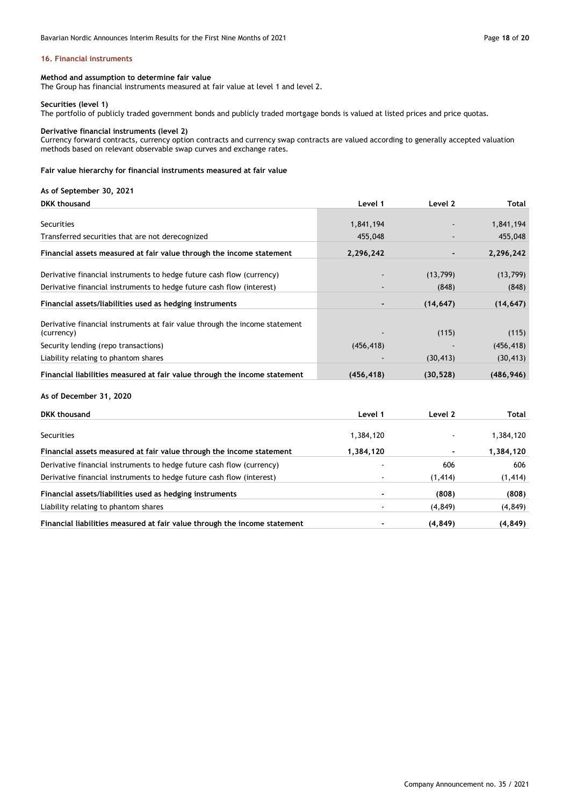### <span id="page-17-0"></span>**16. Financial instruments**

#### **Method and assumption to determine fair value**

The Group has financial instruments measured at fair value at level 1 and level 2.

#### **Securities (level 1)**

The portfolio of publicly traded government bonds and publicly traded mortgage bonds is valued at listed prices and price quotas.

## **Derivative financial instruments (level 2)**

Currency forward contracts, currency option contracts and currency swap contracts are valued according to generally accepted valuation methods based on relevant observable swap curves and exchange rates.

## **Fair value hierarchy for financial instruments measured at fair value**

## **As of September 30, 2021**

| <b>DKK thousand</b>                                                                       | Level 1    | Level 2   | <b>Total</b> |
|-------------------------------------------------------------------------------------------|------------|-----------|--------------|
|                                                                                           |            |           |              |
| Securities                                                                                | 1,841,194  |           | 1,841,194    |
| Transferred securities that are not derecognized                                          | 455,048    |           | 455,048      |
| Financial assets measured at fair value through the income statement                      | 2,296,242  |           | 2,296,242    |
| Derivative financial instruments to hedge future cash flow (currency)                     |            | (13, 799) | (13, 799)    |
| Derivative financial instruments to hedge future cash flow (interest)                     |            | (848)     | (848)        |
| Financial assets/liabilities used as hedging instruments                                  |            | (14, 647) | (14, 647)    |
| Derivative financial instruments at fair value through the income statement<br>(currency) |            | (115)     | (115)        |
| Security lending (repo transactions)                                                      | (456, 418) |           | (456, 418)   |
| Liability relating to phantom shares                                                      |            | (30, 413) | (30, 413)    |
| Financial liabilities measured at fair value through the income statement                 | (456, 418) | (30, 528) | (486, 946)   |

## **As of December 31, 2020**

| DKK thousand                                                              | Level 1                  | Level 2  | Total     |
|---------------------------------------------------------------------------|--------------------------|----------|-----------|
| Securities                                                                | 1,384,120                |          | 1,384,120 |
| Financial assets measured at fair value through the income statement      | 1,384,120                |          | 1,384,120 |
| Derivative financial instruments to hedge future cash flow (currency)     | $\overline{\phantom{a}}$ | 606      | 606       |
| Derivative financial instruments to hedge future cash flow (interest)     | $\overline{\phantom{a}}$ | (1, 414) | (1, 414)  |
| Financial assets/liabilities used as hedging instruments                  | $\overline{\phantom{0}}$ | (808)    | (808)     |
| Liability relating to phantom shares                                      |                          | (4, 849) | (4, 849)  |
| Financial liabilities measured at fair value through the income statement |                          | (4, 849) | (4, 849)  |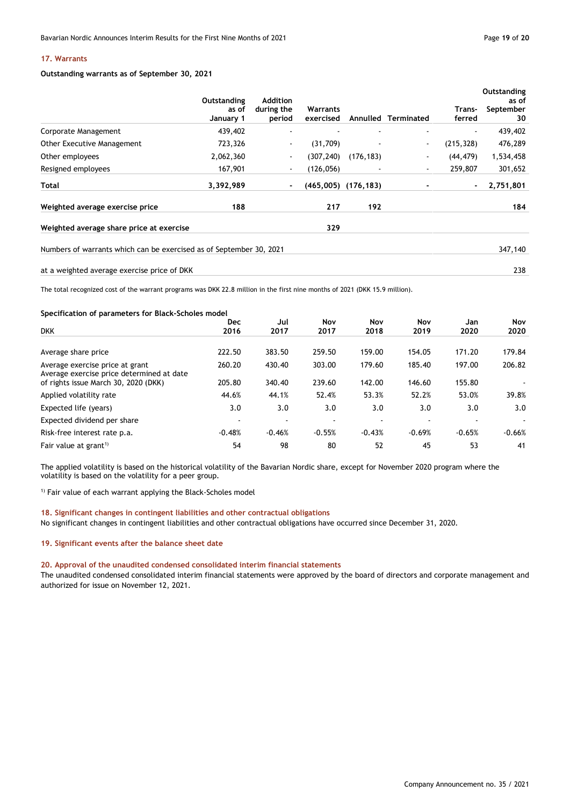# <span id="page-18-0"></span>**17. Warrants**

# **Outstanding warrants as of September 30, 2021**

|                                                                     | Outstanding<br>as of<br>January 1 | <b>Addition</b><br>during the<br>period | Warrants<br>exercised |                         | Annulled Terminated | Trans-<br>ferred | Outstanding<br>as of<br>September<br>30 |
|---------------------------------------------------------------------|-----------------------------------|-----------------------------------------|-----------------------|-------------------------|---------------------|------------------|-----------------------------------------|
| Corporate Management                                                | 439,402                           | $\blacksquare$                          |                       |                         |                     | $\blacksquare$   | 439,402                                 |
| Other Executive Management                                          | 723,326                           | $\sim$                                  | (31,709)              |                         | $\sim$              | (215, 328)       | 476,289                                 |
| Other employees                                                     | 2,062,360                         | ٠                                       | (307, 240)            | (176, 183)              | $\sim$              | (44, 479)        | 1,534,458                               |
| Resigned employees                                                  | 167,901                           | $\sim$                                  | (126, 056)            |                         | $\sim$              | 259,807          | 301,652                                 |
| Total                                                               | 3,392,989                         | $\blacksquare$                          |                       | $(465,005)$ $(176,183)$ |                     | $\blacksquare$   | 2,751,801                               |
| Weighted average exercise price                                     | 188                               |                                         | 217                   | 192                     |                     |                  | 184                                     |
| Weighted average share price at exercise                            |                                   |                                         | 329                   |                         |                     |                  |                                         |
| Numbers of warrants which can be exercised as of September 30, 2021 |                                   |                                         |                       |                         |                     |                  | 347,140                                 |
|                                                                     |                                   |                                         |                       |                         |                     |                  | $- - -$                                 |

at a weighted average exercise price of DKK 238

The total recognized cost of the warrant programs was DKK 22.8 million in the first nine months of 2021 (DKK 15.9 million).

# **Specification of parameters for Black-Scholes model**

|                                           | speem reactors or parameters for black senoles model. |          |          |          |          |          |            |  |  |
|-------------------------------------------|-------------------------------------------------------|----------|----------|----------|----------|----------|------------|--|--|
|                                           | <b>Dec</b>                                            | Jul      | Nov      | Nov      | Nov      | Jan      | <b>Nov</b> |  |  |
| <b>DKK</b>                                | 2016                                                  | 2017     | 2017     | 2018     | 2019     | 2020     | 2020       |  |  |
|                                           |                                                       |          |          |          |          |          |            |  |  |
| Average share price                       | 222.50                                                | 383.50   | 259.50   | 159.00   | 154.05   | 171.20   | 179.84     |  |  |
| Average exercise price at grant           | 260.20                                                | 430.40   | 303.00   | 179.60   | 185.40   | 197.00   | 206.82     |  |  |
| Average exercise price determined at date |                                                       |          |          |          |          |          |            |  |  |
| of rights issue March 30, 2020 (DKK)      | 205.80                                                | 340.40   | 239.60   | 142.00   | 146.60   | 155.80   |            |  |  |
| Applied volatility rate                   | 44.6%                                                 | 44.1%    | 52.4%    | 53.3%    | 52.2%    | 53.0%    | 39.8%      |  |  |
| Expected life (years)                     | 3.0                                                   | 3.0      | 3.0      | 3.0      | 3.0      | 3.0      | 3.0        |  |  |
| Expected dividend per share               | $\blacksquare$                                        |          |          |          |          |          |            |  |  |
| Risk-free interest rate p.a.              | $-0.48%$                                              | $-0.46%$ | $-0.55%$ | $-0.43%$ | $-0.69%$ | $-0.65%$ | $-0.66%$   |  |  |
| Fair value at grant <sup>1)</sup>         | 54                                                    | 98       | 80       | 52       | 45       | 53       | 41         |  |  |
|                                           |                                                       |          |          |          |          |          |            |  |  |

The applied volatility is based on the historical volatility of the Bavarian Nordic share, except for November 2020 program where the volatility is based on the volatility for a peer group.

<span id="page-18-1"></span><sup>1)</sup> Fair value of each warrant applying the Black-Scholes model

### **18. Significant changes in contingent liabilities and other contractual obligations**

<span id="page-18-2"></span>No significant changes in contingent liabilities and other contractual obligations have occurred since December 31, 2020.

<span id="page-18-3"></span>**19. Significant events after the balance sheet date** 

# **20. Approval of the unaudited condensed consolidated interim financial statements**

The unaudited condensed consolidated interim financial statements were approved by the board of directors and corporate management and authorized for issue on November 12, 2021.